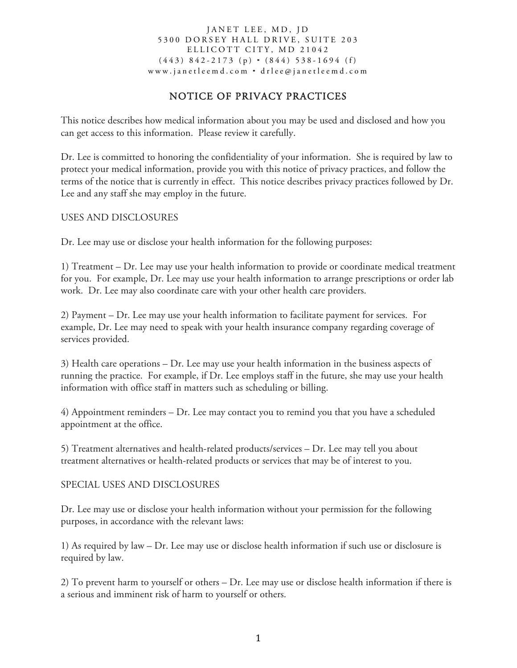# NOTICE OF PRIVACY PRACTICES

This notice describes how medical information about you may be used and disclosed and how you can get access to this information. Please review it carefully.

Dr. Lee is committed to honoring the confidentiality of your information. She is required by law to protect your medical information, provide you with this notice of privacy practices, and follow the terms of the notice that is currently in effect. This notice describes privacy practices followed by Dr. Lee and any staff she may employ in the future.

USES AND DISCLOSURES

Dr. Lee may use or disclose your health information for the following purposes:

1) Treatment – Dr. Lee may use your health information to provide or coordinate medical treatment for you. For example, Dr. Lee may use your health information to arrange prescriptions or order lab work. Dr. Lee may also coordinate care with your other health care providers.

2) Payment – Dr. Lee may use your health information to facilitate payment for services. For example, Dr. Lee may need to speak with your health insurance company regarding coverage of services provided.

3) Health care operations – Dr. Lee may use your health information in the business aspects of running the practice. For example, if Dr. Lee employs staff in the future, she may use your health information with office staff in matters such as scheduling or billing.

4) Appointment reminders – Dr. Lee may contact you to remind you that you have a scheduled appointment at the office.

5) Treatment alternatives and health-related products/services – Dr. Lee may tell you about treatment alternatives or health-related products or services that may be of interest to you.

## SPECIAL USES AND DISCLOSURES

Dr. Lee may use or disclose your health information without your permission for the following purposes, in accordance with the relevant laws:

1) As required by law – Dr. Lee may use or disclose health information if such use or disclosure is required by law.

2) To prevent harm to yourself or others – Dr. Lee may use or disclose health information if there is a serious and imminent risk of harm to yourself or others.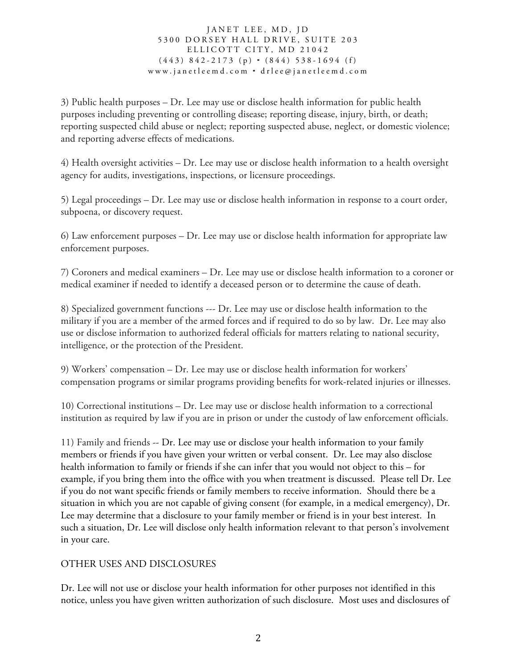3) Public health purposes – Dr. Lee may use or disclose health information for public health purposes including preventing or controlling disease; reporting disease, injury, birth, or death; reporting suspected child abuse or neglect; reporting suspected abuse, neglect, or domestic violence; and reporting adverse effects of medications.

4) Health oversight activities – Dr. Lee may use or disclose health information to a health oversight agency for audits, investigations, inspections, or licensure proceedings.

5) Legal proceedings – Dr. Lee may use or disclose health information in response to a court order, subpoena, or discovery request.

6) Law enforcement purposes – Dr. Lee may use or disclose health information for appropriate law enforcement purposes.

7) Coroners and medical examiners – Dr. Lee may use or disclose health information to a coroner or medical examiner if needed to identify a deceased person or to determine the cause of death.

8) Specialized government functions --- Dr. Lee may use or disclose health information to the military if you are a member of the armed forces and if required to do so by law. Dr. Lee may also use or disclose information to authorized federal officials for matters relating to national security, intelligence, or the protection of the President.

9) Workers' compensation – Dr. Lee may use or disclose health information for workers' compensation programs or similar programs providing benefits for work-related injuries or illnesses.

10) Correctional institutions – Dr. Lee may use or disclose health information to a correctional institution as required by law if you are in prison or under the custody of law enforcement officials.

11) Family and friends -- Dr. Lee may use or disclose your health information to your family members or friends if you have given your written or verbal consent. Dr. Lee may also disclose health information to family or friends if she can infer that you would not object to this – for example, if you bring them into the office with you when treatment is discussed. Please tell Dr. Lee if you do not want specific friends or family members to receive information. Should there be a situation in which you are not capable of giving consent (for example, in a medical emergency), Dr. Lee may determine that a disclosure to your family member or friend is in your best interest. In such a situation, Dr. Lee will disclose only health information relevant to that person's involvement in your care.

## OTHER USES AND DISCLOSURES

Dr. Lee will not use or disclose your health information for other purposes not identified in this notice, unless you have given written authorization of such disclosure. Most uses and disclosures of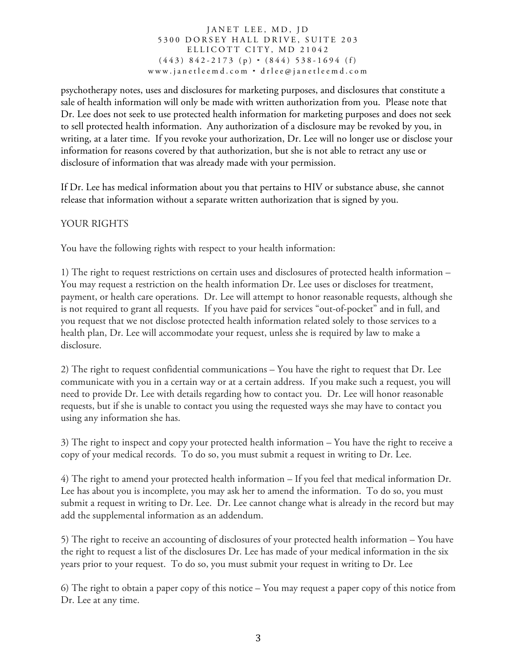psychotherapy notes, uses and disclosures for marketing purposes, and disclosures that constitute a sale of health information will only be made with written authorization from you. Please note that Dr. Lee does not seek to use protected health information for marketing purposes and does not seek to sell protected health information. Any authorization of a disclosure may be revoked by you, in writing, at a later time. If you revoke your authorization, Dr. Lee will no longer use or disclose your information for reasons covered by that authorization, but she is not able to retract any use or disclosure of information that was already made with your permission.

If Dr. Lee has medical information about you that pertains to HIV or substance abuse, she cannot release that information without a separate written authorization that is signed by you.

## YOUR RIGHTS

You have the following rights with respect to your health information:

1) The right to request restrictions on certain uses and disclosures of protected health information – You may request a restriction on the health information Dr. Lee uses or discloses for treatment, payment, or health care operations. Dr. Lee will attempt to honor reasonable requests, although she is not required to grant all requests. If you have paid for services "out-of-pocket" and in full, and you request that we not disclose protected health information related solely to those services to a health plan, Dr. Lee will accommodate your request, unless she is required by law to make a disclosure.

2) The right to request confidential communications – You have the right to request that Dr. Lee communicate with you in a certain way or at a certain address. If you make such a request, you will need to provide Dr. Lee with details regarding how to contact you. Dr. Lee will honor reasonable requests, but if she is unable to contact you using the requested ways she may have to contact you using any information she has.

3) The right to inspect and copy your protected health information – You have the right to receive a copy of your medical records. To do so, you must submit a request in writing to Dr. Lee.

4) The right to amend your protected health information – If you feel that medical information Dr. Lee has about you is incomplete, you may ask her to amend the information. To do so, you must submit a request in writing to Dr. Lee. Dr. Lee cannot change what is already in the record but may add the supplemental information as an addendum.

5) The right to receive an accounting of disclosures of your protected health information – You have the right to request a list of the disclosures Dr. Lee has made of your medical information in the six years prior to your request. To do so, you must submit your request in writing to Dr. Lee

6) The right to obtain a paper copy of this notice – You may request a paper copy of this notice from Dr. Lee at any time.